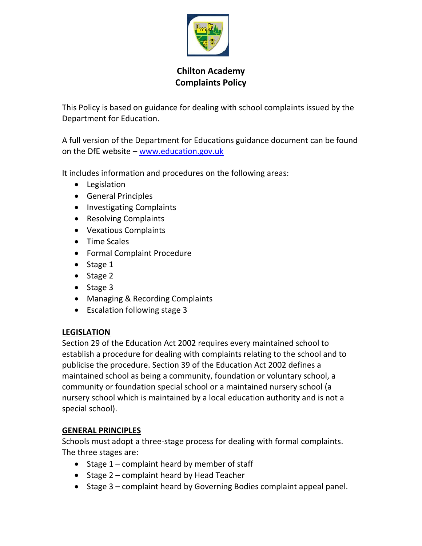

# **Chilton Academy Complaints Policy**

This Policy is based on guidance for dealing with school complaints issued by the Department for Education.

A full version of the Department for Educations guidance document can be found on the DfE website – [www.education.gov.uk](http://www.education.gov.uk/)

It includes information and procedures on the following areas:

- Legislation
- General Principles
- Investigating Complaints
- Resolving Complaints
- Vexatious Complaints
- Time Scales
- Formal Complaint Procedure
- Stage 1
- Stage 2
- Stage 3
- Managing & Recording Complaints
- Escalation following stage 3

#### **LEGISLATION**

Section 29 of the Education Act 2002 requires every maintained school to establish a procedure for dealing with complaints relating to the school and to publicise the procedure. Section 39 of the Education Act 2002 defines a maintained school as being a community, foundation or voluntary school, a community or foundation special school or a maintained nursery school (a nursery school which is maintained by a local education authority and is not a special school).

## **GENERAL PRINCIPLES**

Schools must adopt a three-stage process for dealing with formal complaints. The three stages are:

- Stage 1 complaint heard by member of staff
- Stage 2 complaint heard by Head Teacher
- Stage 3 complaint heard by Governing Bodies complaint appeal panel.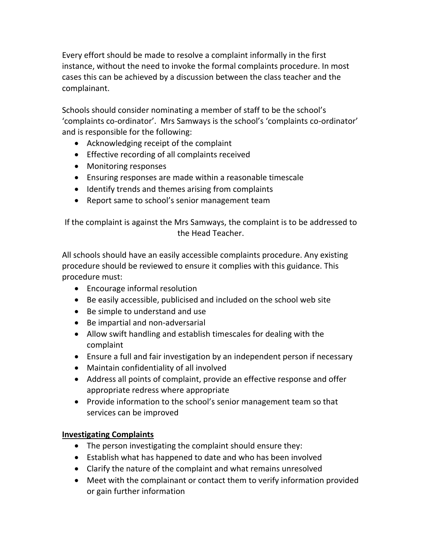Every effort should be made to resolve a complaint informally in the first instance, without the need to invoke the formal complaints procedure. In most cases this can be achieved by a discussion between the class teacher and the complainant.

Schools should consider nominating a member of staff to be the school's 'complaints co-ordinator'. Mrs Samways is the school's 'complaints co-ordinator' and is responsible for the following:

- Acknowledging receipt of the complaint
- Effective recording of all complaints received
- Monitoring responses
- Ensuring responses are made within a reasonable timescale
- Identify trends and themes arising from complaints
- Report same to school's senior management team

If the complaint is against the Mrs Samways, the complaint is to be addressed to the Head Teacher.

All schools should have an easily accessible complaints procedure. Any existing procedure should be reviewed to ensure it complies with this guidance. This procedure must:

- Encourage informal resolution
- Be easily accessible, publicised and included on the school web site
- Be simple to understand and use
- Be impartial and non-adversarial
- Allow swift handling and establish timescales for dealing with the complaint
- Ensure a full and fair investigation by an independent person if necessary
- Maintain confidentiality of all involved
- Address all points of complaint, provide an effective response and offer appropriate redress where appropriate
- Provide information to the school's senior management team so that services can be improved

# **Investigating Complaints**

- The person investigating the complaint should ensure they:
- Establish what has happened to date and who has been involved
- Clarify the nature of the complaint and what remains unresolved
- Meet with the complainant or contact them to verify information provided or gain further information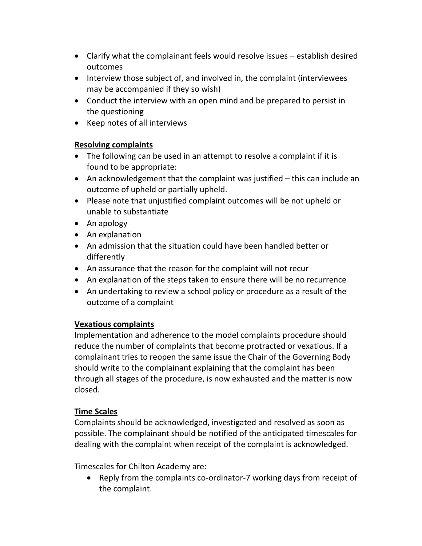- Clarify what the complainant feels would resolve issues establish desired outcomes
- Interview those subject of, and involved in, the complaint (interviewees may be accompanied if they so wish)
- Conduct the interview with an open mind and be prepared to persist in the questioning
- Keep notes of all interviews

# **Resolving complaints**

- The following can be used in an attempt to resolve a complaint if it is found to be appropriate:
- An acknowledgement that the complaint was justified this can include an outcome of upheld or partially upheld.
- Please note that unjustified complaint outcomes will be not upheld or unable to substantiate
- An apology
- An explanation
- An admission that the situation could have been handled better or differently
- An assurance that the reason for the complaint will not recur
- An explanation of the steps taken to ensure there will be no recurrence
- An undertaking to review a school policy or procedure as a result of the outcome of a complaint

# **Vexatious complaints**

Implementation and adherence to the model complaints procedure should reduce the number of complaints that become protracted or vexatious. If a complainant tries to reopen the same issue the Chair of the Governing Body should write to the complainant explaining that the complaint has been through all stages of the procedure, is now exhausted and the matter is now closed.

# **Time Scales**

Complaints should be acknowledged, investigated and resolved as soon as possible. The complainant should be notified of the anticipated timescales for dealing with the complaint when receipt of the complaint is acknowledged.

Timescales for Chilton Academy are:

• Reply from the complaints co-ordinator-7 working days from receipt of the complaint.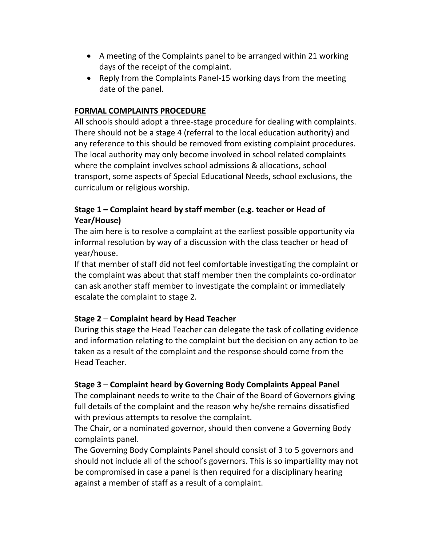- A meeting of the Complaints panel to be arranged within 21 working days of the receipt of the complaint.
- Reply from the Complaints Panel-15 working days from the meeting date of the panel.

## **FORMAL COMPLAINTS PROCEDURE**

All schools should adopt a three-stage procedure for dealing with complaints. There should not be a stage 4 (referral to the local education authority) and any reference to this should be removed from existing complaint procedures. The local authority may only become involved in school related complaints where the complaint involves school admissions & allocations, school transport, some aspects of Special Educational Needs, school exclusions, the curriculum or religious worship.

## **Stage 1 – Complaint heard by staff member (e.g. teacher or Head of Year/House)**

The aim here is to resolve a complaint at the earliest possible opportunity via informal resolution by way of a discussion with the class teacher or head of year/house.

If that member of staff did not feel comfortable investigating the complaint or the complaint was about that staff member then the complaints co-ordinator can ask another staff member to investigate the complaint or immediately escalate the complaint to stage 2.

## **Stage 2** – **Complaint heard by Head Teacher**

During this stage the Head Teacher can delegate the task of collating evidence and information relating to the complaint but the decision on any action to be taken as a result of the complaint and the response should come from the Head Teacher.

## **Stage 3** – **Complaint heard by Governing Body Complaints Appeal Panel**

The complainant needs to write to the Chair of the Board of Governors giving full details of the complaint and the reason why he/she remains dissatisfied with previous attempts to resolve the complaint.

The Chair, or a nominated governor, should then convene a Governing Body complaints panel.

The Governing Body Complaints Panel should consist of 3 to 5 governors and should not include all of the school's governors. This is so impartiality may not be compromised in case a panel is then required for a disciplinary hearing against a member of staff as a result of a complaint.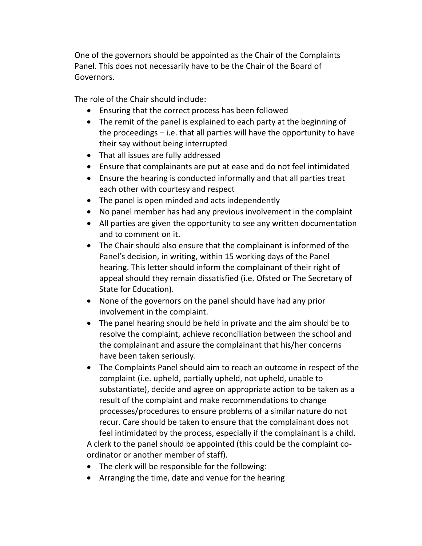One of the governors should be appointed as the Chair of the Complaints Panel. This does not necessarily have to be the Chair of the Board of Governors.

The role of the Chair should include:

- Ensuring that the correct process has been followed
- The remit of the panel is explained to each party at the beginning of the proceedings – i.e. that all parties will have the opportunity to have their say without being interrupted
- That all issues are fully addressed
- Ensure that complainants are put at ease and do not feel intimidated
- Ensure the hearing is conducted informally and that all parties treat each other with courtesy and respect
- The panel is open minded and acts independently
- No panel member has had any previous involvement in the complaint
- All parties are given the opportunity to see any written documentation and to comment on it.
- The Chair should also ensure that the complainant is informed of the Panel's decision, in writing, within 15 working days of the Panel hearing. This letter should inform the complainant of their right of appeal should they remain dissatisfied (i.e. Ofsted or The Secretary of State for Education).
- None of the governors on the panel should have had any prior involvement in the complaint.
- The panel hearing should be held in private and the aim should be to resolve the complaint, achieve reconciliation between the school and the complainant and assure the complainant that his/her concerns have been taken seriously.
- The Complaints Panel should aim to reach an outcome in respect of the complaint (i.e. upheld, partially upheld, not upheld, unable to substantiate), decide and agree on appropriate action to be taken as a result of the complaint and make recommendations to change processes/procedures to ensure problems of a similar nature do not recur. Care should be taken to ensure that the complainant does not feel intimidated by the process, especially if the complainant is a child.

A clerk to the panel should be appointed (this could be the complaint coordinator or another member of staff).

- The clerk will be responsible for the following:
- Arranging the time, date and venue for the hearing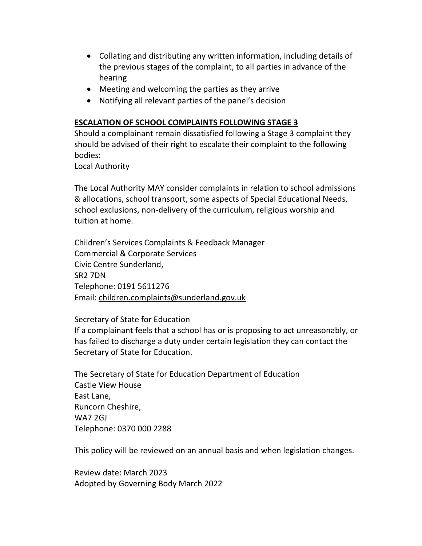- Collating and distributing any written information, including details of the previous stages of the complaint, to all parties in advance of the hearing
- Meeting and welcoming the parties as they arrive
- Notifying all relevant parties of the panel's decision

#### **ESCALATION OF SCHOOL COMPLAINTS FOLLOWING STAGE 3**

Should a complainant remain dissatisfied following a Stage 3 complaint they should be advised of their right to escalate their complaint to the following bodies:

Local Authority

The Local Authority MAY consider complaints in relation to school admissions & allocations, school transport, some aspects of Special Educational Needs, school exclusions, non-delivery of the curriculum, religious worship and tuition at home.

Children's Services Complaints & Feedback Manager Commercial & Corporate Services Civic Centre Sunderland, SR2 7DN Telephone: 0191 5611276 Email: [children.complaints@sunderland.gov.uk](mailto:children.complaints@sunderland.gov.uk)

## Secretary of State for Education

If a complainant feels that a school has or is proposing to act unreasonably, or has failed to discharge a duty under certain legislation they can contact the Secretary of State for Education.

The Secretary of State for Education Department of Education Castle View House East Lane, Runcorn Cheshire, WA7 2GJ Telephone: 0370 000 2288

This policy will be reviewed on an annual basis and when legislation changes.

Review date: March 2023 Adopted by Governing Body March 2022